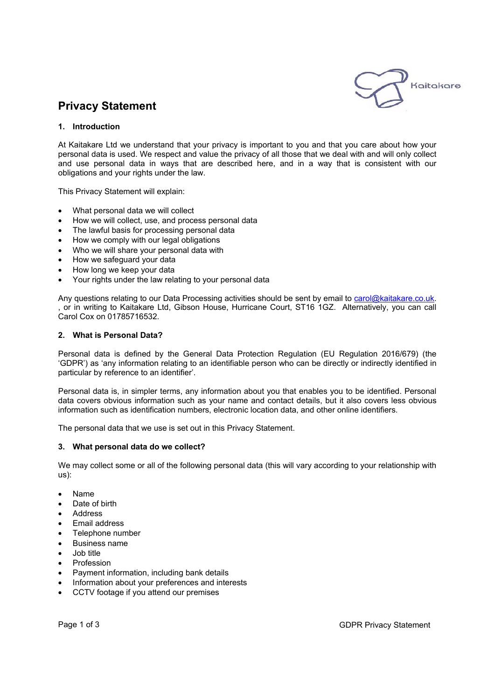

# **Privacy Statement**

## **1. Introduction**

At Kaitakare Ltd we understand that your privacy is important to you and that you care about how your personal data is used. We respect and value the privacy of all those that we deal with and will only collect and use personal data in ways that are described here, and in a way that is consistent with our obligations and your rights under the law.

This Privacy Statement will explain:

- What personal data we will collect
- How we will collect, use, and process personal data
- The lawful basis for processing personal data
- How we comply with our legal obligations
- Who we will share your personal data with
- How we safeguard your data
- How long we keep your data
- Your rights under the law relating to your personal data

Any questions relating to our Data Processing activities should be sent by email to carol@kaitakare.co.uk. , or in writing to Kaitakare Ltd, Gibson House, Hurricane Court, ST16 1GZ. Alternatively, you can call Carol Cox on 01785716532.

## **2. What is Personal Data?**

Personal data is defined by the General Data Protection Regulation (EU Regulation 2016/679) (the 'GDPR') as 'any information relating to an identifiable person who can be directly or indirectly identified in particular by reference to an identifier'.

Personal data is, in simpler terms, any information about you that enables you to be identified. Personal data covers obvious information such as your name and contact details, but it also covers less obvious information such as identification numbers, electronic location data, and other online identifiers.

The personal data that we use is set out in this Privacy Statement.

## **3. What personal data do we collect?**

We may collect some or all of the following personal data (this will vary according to your relationship with us):

- Name
- Date of birth
- Address
- Email address
- Telephone number
- Business name
- Job title
- Profession
- Payment information, including bank details
- Information about your preferences and interests
- CCTV footage if you attend our premises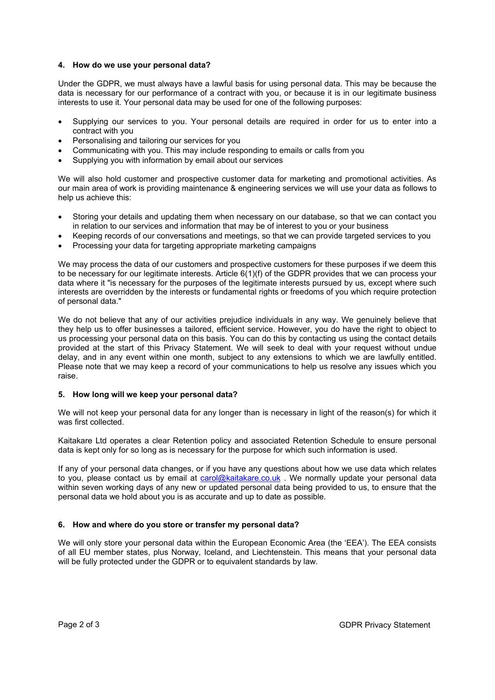## **4. How do we use your personal data?**

Under the GDPR, we must always have a lawful basis for using personal data. This may be because the data is necessary for our performance of a contract with you, or because it is in our legitimate business interests to use it. Your personal data may be used for one of the following purposes:

- Supplying our services to you. Your personal details are required in order for us to enter into a contract with you
- Personalising and tailoring our services for you
- Communicating with you. This may include responding to emails or calls from you
- Supplying you with information by email about our services

We will also hold customer and prospective customer data for marketing and promotional activities. As our main area of work is providing maintenance & engineering services we will use your data as follows to help us achieve this:

- Storing your details and updating them when necessary on our database, so that we can contact you in relation to our services and information that may be of interest to you or your business
- Keeping records of our conversations and meetings, so that we can provide targeted services to you
- Processing your data for targeting appropriate marketing campaigns

We may process the data of our customers and prospective customers for these purposes if we deem this to be necessary for our legitimate interests. Article 6(1)(f) of the GDPR provides that we can process your data where it "is necessary for the purposes of the legitimate interests pursued by us, except where such interests are overridden by the interests or fundamental rights or freedoms of you which require protection of personal data."

We do not believe that any of our activities prejudice individuals in any way. We genuinely believe that they help us to offer businesses a tailored, efficient service. However, you do have the right to object to us processing your personal data on this basis. You can do this by contacting us using the contact details provided at the start of this Privacy Statement. We will seek to deal with your request without undue delay, and in any event within one month, subject to any extensions to which we are lawfully entitled. Please note that we may keep a record of your communications to help us resolve any issues which you raise.

# **5. How long will we keep your personal data?**

We will not keep your personal data for any longer than is necessary in light of the reason(s) for which it was first collected.

Kaitakare Ltd operates a clear Retention policy and associated Retention Schedule to ensure personal data is kept only for so long as is necessary for the purpose for which such information is used.

If any of your personal data changes, or if you have any questions about how we use data which relates to you, please contact us by email at carol@kaitakare.co.uk . We normally update your personal data within seven working days of any new or updated personal data being provided to us, to ensure that the personal data we hold about you is as accurate and up to date as possible.

# **6. How and where do you store or transfer my personal data?**

We will only store your personal data within the European Economic Area (the 'EEA'). The EEA consists of all EU member states, plus Norway, Iceland, and Liechtenstein. This means that your personal data will be fully protected under the GDPR or to equivalent standards by law.